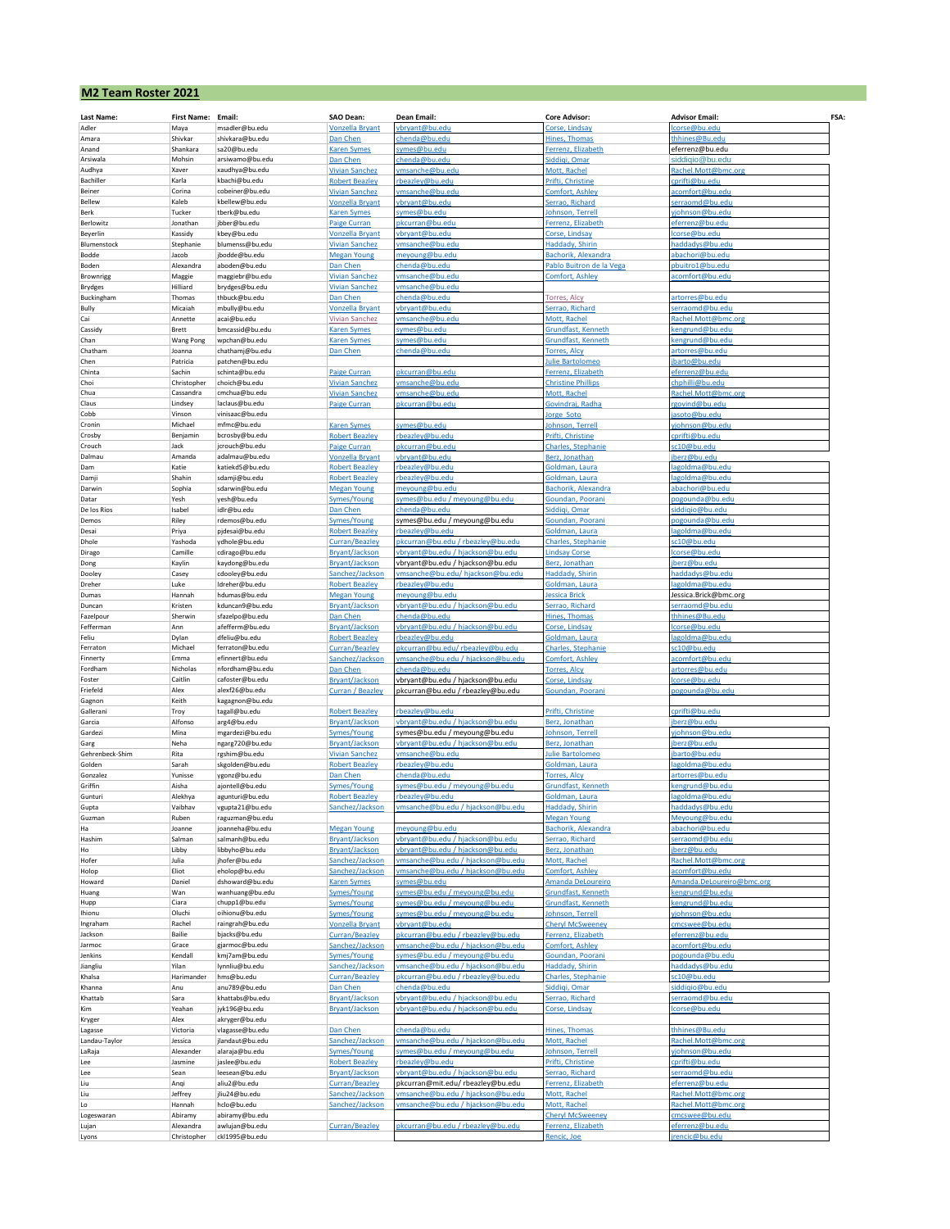| <b>M2 Team Roster 2021</b> |                          |                                    |                                                 |                                                                       |                                                 |                                         |      |  |  |  |
|----------------------------|--------------------------|------------------------------------|-------------------------------------------------|-----------------------------------------------------------------------|-------------------------------------------------|-----------------------------------------|------|--|--|--|
| Last Name:                 | <b>First Name:</b>       | Email:                             | SAO Dean:                                       | Dean Email:                                                           | <b>Core Advisor:</b>                            | <b>Advisor Email:</b>                   | FSA: |  |  |  |
| Adler                      | Maya                     | msadler@bu.edu                     | Vonzella Bryant                                 | bryant@bu.edu                                                         | Corse, Lindsay                                  | corse@bu.edu                            |      |  |  |  |
| Amara                      | Shivkar                  | shivkara@bu.edu                    | Dan Chen                                        | chenda@bu.edu                                                         | Hines, Thomas                                   | hhines@Bu.edu                           |      |  |  |  |
| Anand                      | Shankara                 | sa20@bu.edu                        | <b>Karen Symes</b>                              | <u>iymes@bu.edu</u>                                                   | Ferrenz, Elizabeth                              | eferrenz@bu.edu                         |      |  |  |  |
| Arsiwala                   | Mohsin                   | arsiwamo@bu.edu                    | Dan Chen                                        | henda@bu.edu                                                          | Siddiqi, Omar                                   | siddiqio@bu.edu                         |      |  |  |  |
| Audhya                     | Xaver                    | xaudhya@bu.edu                     | <b>Vivian Sanchez</b>                           | msanche@bu.edu                                                        | Mott, Rachel                                    | Rachel.Mott@bmc.org                     |      |  |  |  |
| Bachiller                  | Karla                    | kbachi@bu.edu                      | <b>Robert Beazley</b>                           | beazlev@bu.edu                                                        | Prifti, Christine                               | prifti@bu.edu                           |      |  |  |  |
| Beiner<br>Bellew           | Corina<br>Kaleb          | cobeiner@bu.edu<br>kbellew@bu.edu  | <b>Vivian Sanchez</b><br><b>Vonzella Bryant</b> | msanche@bu.edu<br>bryant@bu.edu                                       | Comfort, Ashley<br>Serrao, Richard              | comfort@bu.edu<br>erraomd@bu.edu        |      |  |  |  |
| Berk                       | Tucker                   | tberk@bu.edu                       | <b>Karen Symes</b>                              | ymes@bu.edu                                                           | Johnson, Terrell                                | /johnson@bu.edu                         |      |  |  |  |
| Berlowitz                  | Jonathan                 | jbber@bu.edu                       | Paige Curran                                    | okcurran@bu.edu                                                       | Ferrenz, Elizabeth                              | eferrenz@bu.edu                         |      |  |  |  |
| Beyerlin                   | Kassidy                  | kbey@bu.edu                        | <b>Vonzella Bryant</b>                          | bryant@bu.edu                                                         | Corse, Lindsay                                  | corse@bu.edu                            |      |  |  |  |
| Blumenstock                | Stephanie                | blumenss@bu.edu                    | <b>Vivian Sanchez</b>                           | msanche@bu.edu                                                        | <b>Haddady, Shirin</b>                          | addadys@bu.edu                          |      |  |  |  |
| Bodde                      | Jacob                    | jbodde@bu.edu                      | <b>Megan Young</b>                              | neyoung@bu.edu                                                        | Bachorik, Alexandra                             | bachori@bu.edu                          |      |  |  |  |
| Boden                      | Alexandra                | aboden@bu.edu                      | Dan Chen                                        | henda@bu.edu                                                          | Pablo Buitron de la Vega                        | buitro1@bu.edu                          |      |  |  |  |
| Brownrigg                  | Maggie                   | maggiebr@bu.edu                    | <b>Vivian Sanchez</b>                           | msanche@bu.edu                                                        | Comfort, Ashley                                 | comfort@bu.edu                          |      |  |  |  |
| Brydges<br>Buckingham      | Hilliard<br>Thomas       | brydges@bu.edu<br>thbuck@bu.edu    | <b>Vivian Sanchez</b><br>Dan Chen               | msanche@bu.edu<br>chenda@bu.edu                                       | Torres, Alcy                                    | rtorres@bu.edu                          |      |  |  |  |
| Bully                      | Micaiah                  | mbully@bu.edu                      | <b>Vonzella Bryant</b>                          | bryant@bu.edu                                                         | Serrao, Richard                                 | erraomd@bu.edu                          |      |  |  |  |
| Cai                        | Annette                  | acai@bu.edu                        | <b>Vivian Sanchez</b>                           | msanche@bu.edu                                                        | Mott, Rachel                                    | Rachel.Mott@bmc.org                     |      |  |  |  |
| Cassidy                    | Brett                    | bmcassid@bu.edu                    | <b>Karen Symes</b>                              | ymes@bu.edu                                                           | Grundfast, Kenneth                              | engrund@bu.edu                          |      |  |  |  |
| Chan                       | Wang Pong                | wpchan@bu.edu                      | <b>Karen Symes</b>                              | ymes@bu.edu                                                           | Grundfast, Kenneth                              | engrund@bu.edu                          |      |  |  |  |
| Chatham                    | Joanna                   | chathamj@bu.edu                    | Dan Chen                                        | henda@bu.edu                                                          | <b>Forres, Alcy</b>                             | rtorres@bu.edu                          |      |  |  |  |
| Chen                       | Patricia                 | patchen@bu.edu                     |                                                 |                                                                       | ulie Bartolomeo                                 | barto@bu.edu                            |      |  |  |  |
| Chinta                     | Sachin                   | schinta@bu.edu                     | <b>Paige Curran</b>                             | okcurran@bu.edu                                                       | Ferrenz, Elizabeth<br><b>Christine Phillips</b> | eferrenz@bu.edu<br>hphilli@bu.edu       |      |  |  |  |
| Choi<br>Chua               | Christopher<br>Cassandra | choich@bu.edu<br>cmchua@bu.edu     | <b>Vivian Sanchez</b><br><b>Vivian Sanchez</b>  | msanche@bu.edu<br>msanche@bu.edu                                      | Mott, Rachel                                    | Rachel.Mott@bmc.org                     |      |  |  |  |
| Claus                      | Lindsey                  | laclaus@bu.edu                     | <b>Paige Curran</b>                             | okcurran@bu.edu                                                       | Govindraj, Radha                                | govind@bu.edu                           |      |  |  |  |
| Cobb                       | Vinson                   | vinisaac@bu.edu                    |                                                 |                                                                       | orge Soto                                       | <u>asoto@bu.edu</u>                     |      |  |  |  |
| Cronin                     | Michael                  | mfmc@bu.edu                        | <b>Karen Symes</b>                              | ymes@bu.edu                                                           | ohnson, Terrell                                 | iohnson@bu.edu                          |      |  |  |  |
| Crosby                     | Benjamin                 | bcrosby@bu.edu                     | <b>Robert Beazley</b>                           | beazley@bu.edu                                                        | Prifti, Christine                               | prifti@bu.edu:                          |      |  |  |  |
| Crouch                     | Jack                     | jcrouch@bu.edu                     | <b>Paige Curran</b>                             | okcurran@bu.edi                                                       | <b>Charles, Stephanie</b>                       | c10@bu.edu                              |      |  |  |  |
| Dalmau                     | Amanda                   | adalmau@bu.edu                     | <b>Vonzella Bryant</b>                          | vbryant@bu.edu                                                        | Berz, Jonathan                                  | jberz@bu.edu                            |      |  |  |  |
| Dam                        | Katie                    | katiekd5@bu.edu                    | <b>Robert Beazley</b>                           | rbeazley@bu.edu                                                       | Goldman, Laura                                  | agoldma@bu.edu                          |      |  |  |  |
| Damji<br>Darwin            | Shahin<br>Sophia         | sdamji@bu.edu<br>sdarwin@bu.edu    | <b>Robert Beazley</b>                           | rbeazley@bu.edu<br>neyoung@bu.edu                                     | Goldman, Laura<br><b>Bachorik, Alexandra</b>    | agoldma@bu.edu<br>bachori@bu.edu        |      |  |  |  |
| Datar                      | Yesh                     | yesh@bu.edu                        | <b>Megan Young</b><br>Symes/Young               | <u>ymes@bu.edu / meyoung@bu.edu</u>                                   | Goundan, Poorani                                | ogounda@bu.edu                          |      |  |  |  |
| De los Rios                | Isabel                   | idlr@bu.edu                        | Dan Chen                                        | chenda@bu.edu                                                         | Siddiqi, Omar                                   | iddigio@bu.edu                          |      |  |  |  |
| Demos                      | Riley                    | rdemos@bu.edu                      | <b>Symes/Young</b>                              | symes@bu.edu / meyoung@bu.edu                                         | Goundan, Poorani                                | ogounda@bu.edu                          |      |  |  |  |
| Desai                      | Priya                    | pjdesai@bu.edu                     | <b>Robert Beazley</b>                           | heazlev@hu                                                            | Soldman, Laura                                  |                                         |      |  |  |  |
| Dhole                      | Yashoda                  | ydhole@bu.edu                      | Curran/Beazley                                  | okcurran@bu.edu / rbeazley@bu.edu                                     | <b>Charles, Stephanie</b>                       | c10@bu.edu                              |      |  |  |  |
| Dirago                     | Camille                  | cdirago@bu.edu                     | <b>Bryant/Jackson</b>                           | bryant@bu.edu / hjackson@bu.edu                                       | <b>Lindsay Corse</b>                            | corse@bu.edu                            |      |  |  |  |
| Dong                       | Kaylin                   | kaydong@bu.edu                     | <b>Bryant/Jackson</b>                           | /bryant@bu.edu / hjackson@bu.edu                                      | Berz, Jonathan                                  | berz@bu.edu                             |      |  |  |  |
| Dooley                     | Casey                    | cdooley@bu.edu<br>Idreher@bu.edu   | Sanchez/Jackson                                 | msanche@bu.edu/hjackson@bu.edu                                        | Haddady, Shirin                                 | addadys@bu.edu                          |      |  |  |  |
| Dreher<br>Dumas            | Luke<br>Hannah           | hdumas@bu.edu                      | <b>Robert Beazley</b><br><b>Megan Young</b>     | beazley@bu.edu<br>neyoung@bu.edu                                      | Goldman, Laura<br>essica Brick                  | agoldma@bu.edu<br>lessica.Brick@bmc.org |      |  |  |  |
| Duncan                     | Kristen                  | kduncan9@bu.edu                    | <b>Bryant/Jackson</b>                           | bryant@bu.edu / hjackson@bu.edu                                       | Serrao, Richard                                 | erraomd@bu.edu                          |      |  |  |  |
| Fazelpour                  | Sherwin                  | sfazelpo@bu.edu                    | Dan Chen                                        | henda@bu.edu                                                          | Hines, Thomas                                   | hhines@Bu.edu                           |      |  |  |  |
| Fefferman                  | Ann                      | afefferm@bu.edu                    | <b>Bryant/Jackson</b>                           | bryant@bu.edu / hjackson@bu.edu                                       | Corse, Lindsay                                  | corse@bu.edu                            |      |  |  |  |
| Feliu                      | Dylan                    | dfeliu@bu.edu                      | <b>Robert Beazley</b>                           | beazley@bu.edu                                                        | Goldman, Laura                                  | agoldma@bu.edu                          |      |  |  |  |
| Ferraton                   | Michael                  | ferraton@bu.edu                    | <b>Curran/Beazley</b>                           | okcurran@bu.edu/rbeazley@bu.edu                                       | <b>Charles, Stephanie</b>                       | c10@bu.edu                              |      |  |  |  |
| Finnerty                   | Emma                     | efinnert@bu.edu                    | Sanchez/Jackson                                 | msanche@bu.edu / hjackson@bu.edu                                      | <b>Comfort, Ashley</b>                          | comfort@bu.edu                          |      |  |  |  |
| Fordham<br>Foster          | Nicholas<br>Caitlin      | nfordham@bu.edu<br>cafoster@bu.edu | Dan Chen<br><b>Bryant/Jackson</b>               | chenda@bu.edu<br>vbryant@bu.edu / hjackson@bu.edu                     | <b>Torres, Alcy</b><br>Corse, Lindsay           | irtorres@bu.edu<br>corse@bu.edu         |      |  |  |  |
| Friefeld                   | Alex                     | alexf26@bu.edu                     | <b>Curran / Beazley</b>                         | pkcurran@bu.edu / rbeazley@bu.edu                                     | Goundan, Poorani                                | ogounda@bu.edu                          |      |  |  |  |
| Gagnon                     | Keith                    | kagagnon@bu.edu                    |                                                 |                                                                       |                                                 |                                         |      |  |  |  |
| Gallerani                  | Troy                     | tagall@bu.edu                      | <b>Robert Beazley</b>                           | rbeazley@bu.edu                                                       | Prifti, Christine                               | cprifti@bu.edu                          |      |  |  |  |
| Garcia                     | Alfonso                  | arg4@bu.edu                        | <b>Bryant/Jackson</b>                           | vbryant@bu.edu / hjackson@bu.edu                                      | Berz, Jonathan                                  | jberz@bu.edu                            |      |  |  |  |
| Gardezi                    | Mina                     | mgardezi@bu.edu                    | <b>Symes/Young</b>                              | symes@bu.edu / meyoung@bu.edu                                         | <b>Johnson, Terrell</b>                         | johnson@bu.edu                          |      |  |  |  |
| Garg                       | Neha                     | ngarg720@bu.edu                    | <b>Bryant/Jackson</b>                           | /bryant@bu.edu / hjackson@bu.edu                                      | Berz, Jonathan                                  | berz@bu.edu                             |      |  |  |  |
| Gehrenbeck-Shim            | Rita                     | rgshim@bu.edu                      | <b>Vivian Sanchez</b>                           | rmsanche@bu.edu                                                       | ulie Bartolomeo                                 | <u>barto@bu.edu</u>                     |      |  |  |  |
| Golden<br>Gonzalez         | Sarah<br>Yunisse         | skgolden@bu.edu<br>ygonz@bu.edu    | <b>Robert Beazley</b><br>Dan Chen               | beazley@bu.edu<br>chenda@bu.edu                                       | Soldman, Laura<br><b>Forres, Alcy</b>           | agoldma@bu.edu<br>artorres@bu.edu       |      |  |  |  |
| Griffin                    | Aisha                    | ajontell@bu.edu                    | <b>Symes/Young</b>                              | ymes@bu.edu / meyoung@bu.edu                                          | Grundfast, Kenneth                              | engrund@bu.edu                          |      |  |  |  |
| Gunturi                    | Alekhya                  | agunturi@bu.edu                    | <b>Robert Beazley</b>                           |                                                                       | Soldman, Laura                                  |                                         |      |  |  |  |
| Gupta                      | Vaibhav                  | vgupta21@bu.edu                    | Sanchez/Jackson                                 | msanche@bu.edu / hjackson@bu.edu                                      | <b>Haddady, Shirin</b>                          | addadys@bu.edu                          |      |  |  |  |
| Guzman                     | Ruben                    | raguzman@bu.edu                    |                                                 |                                                                       | <b>Megan Young</b>                              | Meyoung@bu.edu                          |      |  |  |  |
| Ha                         | Joanne                   | joanneha@bu.edu                    | <b>Megan Young</b>                              | neyoung@bu.edu                                                        | <b>Bachorik, Alexandra</b>                      | abachori@bu.edu                         |      |  |  |  |
| Hashim                     | Salman                   | salmanh@bu.edu                     | <b>Bryant/Jackson</b>                           | bryant@bu.edu / hjackson@bu.edu                                       | Serrao, Richard                                 | erraomd@bu.edu                          |      |  |  |  |
| Ho                         | Libby<br>Julia           | libbyho@bu.edu                     | <b>Bryant/Jackson</b><br>Sanchez/Jackson        | bryant@bu.edu / hjackson@bu.edu<br>msanche@bu.edu / hjackson@bu.edu   | Berz, Jonathan<br>Mott, Rachel                  | berz@bu.edu<br>Rachel.Mott@bmc.org      |      |  |  |  |
| Hofer<br>Holop             | Eliot                    | jhofer@bu.edu<br>eholop@bu.edu     | Sanchez/Jackson                                 | msanche@bu.edu / hjackson@bu.edu                                      | Comfort, Ashley                                 | comfort@bu.edu                          |      |  |  |  |
| Howard                     | Daniel                   | dshoward@bu.edu                    | <b>Karen Symes</b>                              | ymes@bu.edu                                                           | Amanda DeLoureiro                               | Amanda.DeLoureiro@bmc.org               |      |  |  |  |
| Huang                      | Wan                      | wanhuang@bu.edu                    | <b>Symes/Young</b>                              | ymes@bu.edu / meyoung@bu.edu                                          | Grundfast, Kenneth                              | engrund@bu.edu                          |      |  |  |  |
| Hupp                       | Ciara                    | chupp1@bu.edu                      | <b>Symes/Young</b>                              | ymes@bu.edu / meyoung@bu.edu                                          | Grundfast, Kenneth                              | engrund@bu.edu                          |      |  |  |  |
| Ihionu                     | Oluchi                   | oihionu@bu.edu                     | <b>Symes/Young</b>                              | ymes@bu.edu / meyoung@bu.edu                                          | <b>Johnson, Terrell</b>                         | johnson@bu.edu                          |      |  |  |  |
| Ingraham                   | Rachel                   | raingrah@bu.edu                    | <b>Vonzella Bryant</b>                          | bryant@bu.edu                                                         | <b>Cheryl McSweeney</b>                         | mcswee@bu.edu                           |      |  |  |  |
| Jackson                    | Bailie                   | bjacks@bu.edu                      | Curran/Beazley                                  | okcurran@bu.edu / rbeazley@bu.edu<br>msanche@bu.edu / hiackson@bu.edu | Ferrenz, Elizabeth                              | ferrenz@bu.edu<br>comfort@bu.edu        |      |  |  |  |
| Jarmoc<br>Jenkins          | Grace<br>Kendall         | gjarmoc@bu.edu<br>kmj7am@bu.edu    | Sanchez/Jackson<br><b>Symes/Young</b>           |                                                                       | Comfort, Ashley<br>Goundan, Poorani             | ogounda@bu.edu                          |      |  |  |  |
| Jiangliu                   | Yilan                    | lynnliu@bu.edu                     | Sanchez/Jackson                                 | ymes@bu.edu / meyoung@bu.edu<br>msanche@bu.edu / hiackson@bu.edu      | Haddady, Shirin                                 | addadys@bu.edu                          |      |  |  |  |
| Khalsa                     | Harimander               | hms@bu.edu                         | Curran/Beazley                                  | okcurran@bu.edu / rbeazley@bu.edu                                     | <b>Charles, Stephanie</b>                       | c10@bu.edu                              |      |  |  |  |
| Khanna                     | Anu                      | anu789@bu.edu                      | Dan Chen                                        | chenda@bu.edu                                                         | Siddiqi, Omar                                   | siddiqio@bu.edu                         |      |  |  |  |
| Khattab                    | Sara                     | khattabs@bu.edu                    | <b>Bryant/Jackson</b>                           | vbryant@bu.edu / hjackson@bu.edu                                      | Serrao, Richard                                 | erraomd@bu.edu                          |      |  |  |  |
| Kim                        | Yeahan                   | jyk196@bu.edu                      | <b>Bryant/Jackson</b>                           | vbryant@bu.edu / hjackson@bu.edu                                      | Corse, Lindsay                                  | corse@bu.edu                            |      |  |  |  |
| Kryger                     | Alex                     | akryger@bu.edu                     |                                                 |                                                                       |                                                 |                                         |      |  |  |  |
| Lagasse                    | Victoria                 | vlagasse@bu.edu                    | Dan Chen                                        | chenda@bu.edu                                                         | Hines, Thomas                                   | hhines@Bu.edu                           |      |  |  |  |
| Landau-Taylor              | Jessica<br>Alexander     | jlandaut@bu.edu                    | Sanchez/Jackson<br><b>Symes/Young</b>           | msanche@bu.edu / hjackson@bu.edu<br>wmes@bu.edu / meyoung@bu.edu      | Mott, Rachel<br><b>Johnson, Terrell</b>         | Rachel.Mott@bmc.org<br>riohnson@bu.edu  |      |  |  |  |
| LaRaja<br>Lee              | Jasmine                  | alaraja@bu.edu<br>jaslee@bu.edu    | <b>Robert Beazley</b>                           | beazley@bu.edu                                                        | Prifti, Christine                               | prifti@bu.edu                           |      |  |  |  |
| Lee                        | Sean                     | leesean@bu.edu                     | <b>Bryant/Jackson</b>                           | /bryant@bu.edu / hjackson@bu.edu                                      | Serrao, Richard                                 | erraomd@bu.edu                          |      |  |  |  |
| Liu                        | Angi                     | aliu2@bu.edu                       | <b>Curran/Beazley</b>                           | pkcurran@mit.edu/rbeazley@bu.edu                                      | Ferrenz, Elizabeth                              | ferrenz@bu.edu                          |      |  |  |  |
| Liu                        | Jeffrey                  | jliu24@bu.edu                      | Sanchez/Jackson                                 | msanche@bu.edu / hjackson@bu.edu                                      | Mott, Rachel                                    | Rachel.Mott@bmc.org                     |      |  |  |  |
| Lo                         | Hannah                   | hclo@bu.edu                        | Sanchez/Jackson                                 | msanche@bu.edu / hjackson@bu.edu                                      | Mott, Rachel                                    | tachel.Mott@bmc.org                     |      |  |  |  |
| Logeswaran                 | Abiramy                  | abiramy@bu.edu                     |                                                 |                                                                       | <b>Cheryl McSweeney</b>                         | mcswee@bu.edu                           |      |  |  |  |
| Lujan                      | Alexandra                | awlujan@bu.edu                     | <b>Curran/Beazley</b>                           | okcurran@bu.edu / rbeazley@bu.edu                                     | Ferrenz, Elizabeth                              | eferrenz@bu.edu                         |      |  |  |  |
| Lyons                      | Christopher              | ckl1995@bu.edu                     |                                                 |                                                                       | Rencic, Joe                                     | encic@bu.edu                            |      |  |  |  |